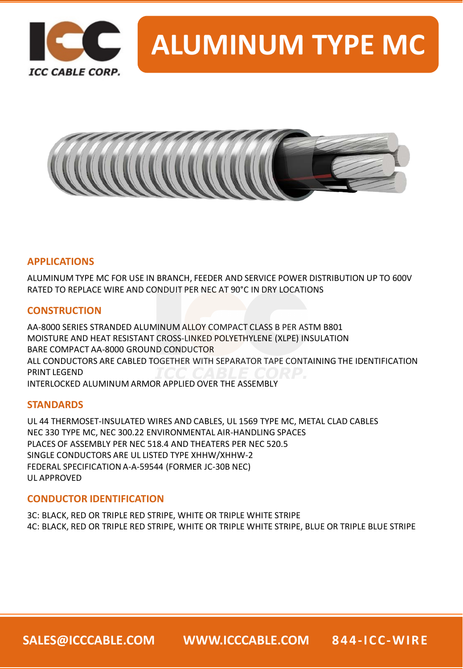

## **ALUMINUM TYPE MC**



#### **APPLICATIONS**

ALUMINUM TYPE MC FOR USE IN BRANCH, FEEDER AND SERVICE POWER DISTRIBUTION UP TO 600V RATED TO REPLACE WIRE AND CONDUIT PER NEC AT 90°C IN DRY LOCATIONS

#### **CONSTRUCTION**

AA-8000 SERIES STRANDED ALUMINUM ALLOY COMPACT CLASS B PER ASTM B801 MOISTURE AND HEAT RESISTANT CROSS-LINKED POLYETHYLENE (XLPE) INSULATION BARE COMPACT AA-8000 GROUND CONDUCTOR ALL CONDUCTORS ARE CABLED TOGETHER WITH SEPARATOR TAPE CONTAINING THE IDENTIFICATION PRINT LEGEND INTERLOCKED ALUMINUM ARMOR APPLIED OVER THE ASSEMBLY

#### **STANDARDS**

UL 44 THERMOSET-INSULATED WIRES AND CABLES, UL 1569 TYPE MC, METAL CLAD CABLES NEC 330 TYPE MC, NEC 300.22 ENVIRONMENTAL AIR-HANDLING SPACES PLACES OF ASSEMBLY PER NEC 518.4 AND THEATERS PER NEC 520.5 SINGLE CONDUCTORS ARE UL LISTED TYPE XHHW/XHHW-2 FEDERAL SPECIFICATION A-A-59544 (FORMER JC-30B NEC) UL APPROVED

#### **CONDUCTOR IDENTIFICATION**

3C: BLACK, RED OR TRIPLE RED STRIPE, WHITE OR TRIPLE WHITE STRIPE 4C: BLACK, RED OR TRIPLE RED STRIPE, WHITE OR TRIPLE WHITE STRIPE, BLUE OR TRIPLE BLUE STRIPE

**SALES@ICCCABLE.COM WWW.ICCCABLE.COM 844-ICC-WIRE**